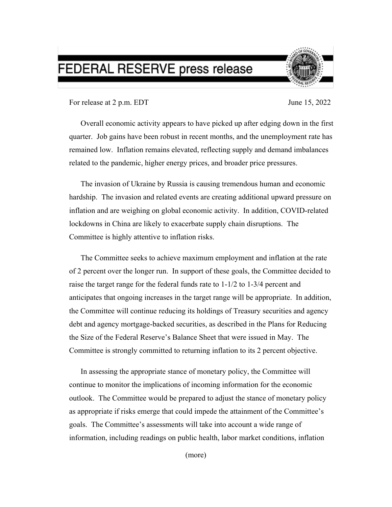## FEDERAL RESERVE press release



For release at 2 p.m. EDT June 15, 2022

Overall economic activity appears to have picked up after edging down in the first quarter. Job gains have been robust in recent months, and the unemployment rate has remained low. Inflation remains elevated, reflecting supply and demand imbalances related to the pandemic, higher energy prices, and broader price pressures.

The invasion of Ukraine by Russia is causing tremendous human and economic hardship. The invasion and related events are creating additional upward pressure on inflation and are weighing on global economic activity. In addition, COVID-related lockdowns in China are likely to exacerbate supply chain disruptions. The Committee is highly attentive to inflation risks.

The Committee seeks to achieve maximum employment and inflation at the rate of 2 percent over the longer run. In support of these goals, the Committee decided to raise the target range for the federal funds rate to 1-1/2 to 1-3/4 percent and anticipates that ongoing increases in the target range will be appropriate. In addition, the Committee will continue reducing its holdings of Treasury securities and agency debt and agency mortgage-backed securities, as described in the Plans for Reducing the Size of the Federal Reserve's Balance Sheet that were issued in May. The Committee is strongly committed to returning inflation to its 2 percent objective.

In assessing the appropriate stance of monetary policy, the Committee will continue to monitor the implications of incoming information for the economic outlook. The Committee would be prepared to adjust the stance of monetary policy as appropriate if risks emerge that could impede the attainment of the Committee's goals. The Committee's assessments will take into account a wide range of information, including readings on public health, labor market conditions, inflation

(more)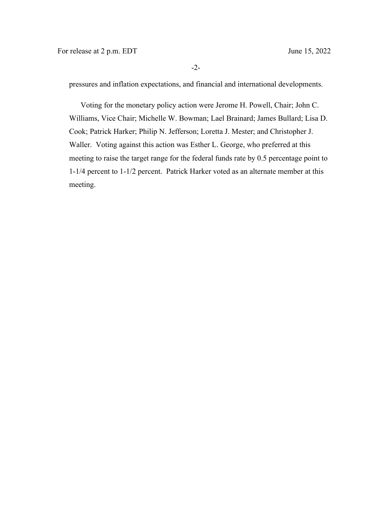pressures and inflation expectations, and financial and international developments.

Voting for the monetary policy action were Jerome H. Powell, Chair; John C. Williams, Vice Chair; Michelle W. Bowman; Lael Brainard; James Bullard; Lisa D. Cook; Patrick Harker; Philip N. Jefferson; Loretta J. Mester; and Christopher J. Waller. Voting against this action was Esther L. George, who preferred at this meeting to raise the target range for the federal funds rate by 0.5 percentage point to 1-1/4 percent to 1-1/2 percent. Patrick Harker voted as an alternate member at this meeting.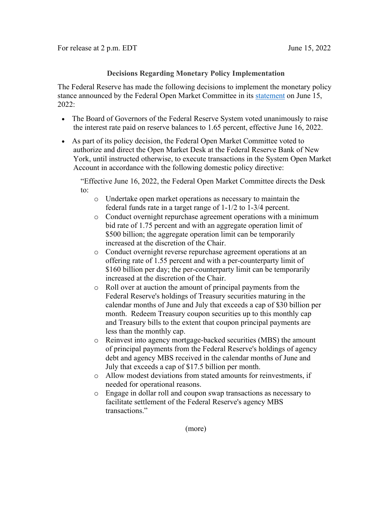## **Decisions Regarding Monetary Policy Implementation**

The Federal Reserve has made the following decisions to implement the monetary policy stance announced by the Federal Open Market Committee in its [statement](https://www.federalreserve.gov/newsevents/pressreleases/monetary20220615a.htm) on June 15, 2022:

- The Board of Governors of the Federal Reserve System voted unanimously to raise the interest rate paid on reserve balances to 1.65 percent, effective June 16, 2022.
- As part of its policy decision, the Federal Open Market Committee voted to authorize and direct the Open Market Desk at the Federal Reserve Bank of New York, until instructed otherwise, to execute transactions in the System Open Market Account in accordance with the following domestic policy directive:

"Effective June 16, 2022, the Federal Open Market Committee directs the Desk to:

- o Undertake open market operations as necessary to maintain the federal funds rate in a target range of 1-1/2 to 1-3/4 percent.
- o Conduct overnight repurchase agreement operations with a minimum bid rate of 1.75 percent and with an aggregate operation limit of \$500 billion; the aggregate operation limit can be temporarily increased at the discretion of the Chair.
- o Conduct overnight reverse repurchase agreement operations at an offering rate of 1.55 percent and with a per-counterparty limit of \$160 billion per day; the per-counterparty limit can be temporarily increased at the discretion of the Chair.
- o Roll over at auction the amount of principal payments from the Federal Reserve's holdings of Treasury securities maturing in the calendar months of June and July that exceeds a cap of \$30 billion per month. Redeem Treasury coupon securities up to this monthly cap and Treasury bills to the extent that coupon principal payments are less than the monthly cap.
- o Reinvest into agency mortgage-backed securities (MBS) the amount of principal payments from the Federal Reserve's holdings of agency debt and agency MBS received in the calendar months of June and July that exceeds a cap of \$17.5 billion per month.
- o Allow modest deviations from stated amounts for reinvestments, if needed for operational reasons.
- o Engage in dollar roll and coupon swap transactions as necessary to facilitate settlement of the Federal Reserve's agency MBS transactions."

(more)